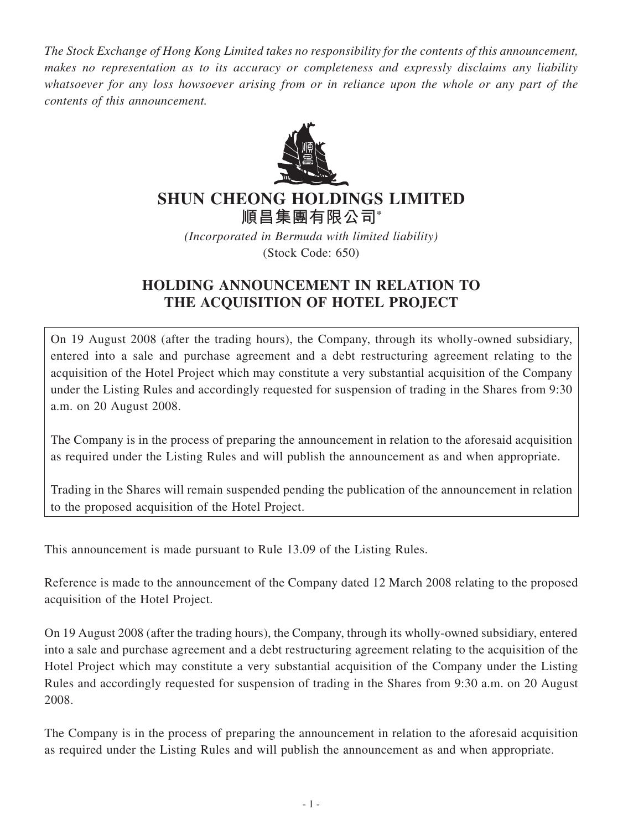*The Stock Exchange of Hong Kong Limited takes no responsibility for the contents of this announcement, makes no representation as to its accuracy or completeness and expressly disclaims any liability whatsoever for any loss howsoever arising from or in reliance upon the whole or any part of the contents of this announcement.*



## **SHUN CHEONG HOLDINGS LIMITED**

**順昌集團有限公司\***

*(Incorporated in Bermuda with limited liability)*

(Stock Code: 650)

## **HOLDING ANNOUNCEMENT IN RELATION TO THE ACQUISITION OF HOTEL PROJECT**

On 19 August 2008 (after the trading hours), the Company, through its wholly-owned subsidiary, entered into a sale and purchase agreement and a debt restructuring agreement relating to the acquisition of the Hotel Project which may constitute a very substantial acquisition of the Company under the Listing Rules and accordingly requested for suspension of trading in the Shares from 9:30 a.m. on 20 August 2008.

The Company is in the process of preparing the announcement in relation to the aforesaid acquisition as required under the Listing Rules and will publish the announcement as and when appropriate.

Trading in the Shares will remain suspended pending the publication of the announcement in relation to the proposed acquisition of the Hotel Project.

This announcement is made pursuant to Rule 13.09 of the Listing Rules.

Reference is made to the announcement of the Company dated 12 March 2008 relating to the proposed acquisition of the Hotel Project.

On 19 August 2008 (after the trading hours), the Company, through its wholly-owned subsidiary, entered into a sale and purchase agreement and a debt restructuring agreement relating to the acquisition of the Hotel Project which may constitute a very substantial acquisition of the Company under the Listing Rules and accordingly requested for suspension of trading in the Shares from 9:30 a.m. on 20 August 2008.

The Company is in the process of preparing the announcement in relation to the aforesaid acquisition as required under the Listing Rules and will publish the announcement as and when appropriate.